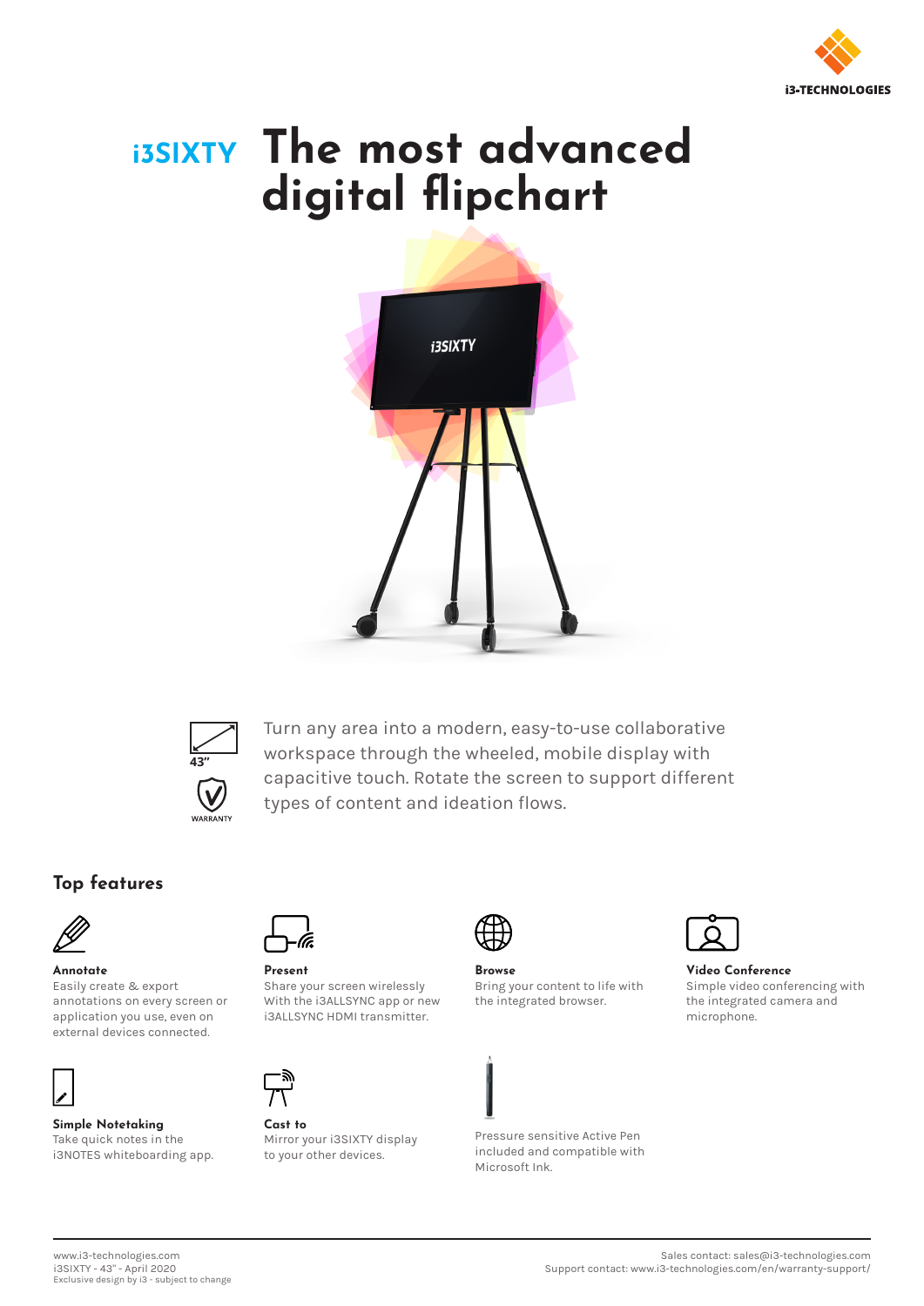

# **i3SIXTY The most advanced digital flipchart**





Turn any area into a modern, easy-to-use collaborative workspace through the wheeled, mobile display with capacitive touch. Rotate the screen to support different types of content and ideation flows.

### **Top features**



#### **Annotate**

Easily create & export annotations on every screen or application you use, even on external devices connected.



**Simple Notetaking** Take quick notes in the i3NOTES whiteboarding app.



**Present** Share your screen wirelessly With the i3ALLSYNC app or new i3ALLSYNC HDMI transmitter.



**Cast to** Mirror your i3SIXTY display to your other devices.



**Browse** Bring your content to life with the integrated browser.



**Video Conference** Simple video conferencing with the integrated camera and microphone.

Pressure sensitive Active Pen included and compatible with Microsoft Ink.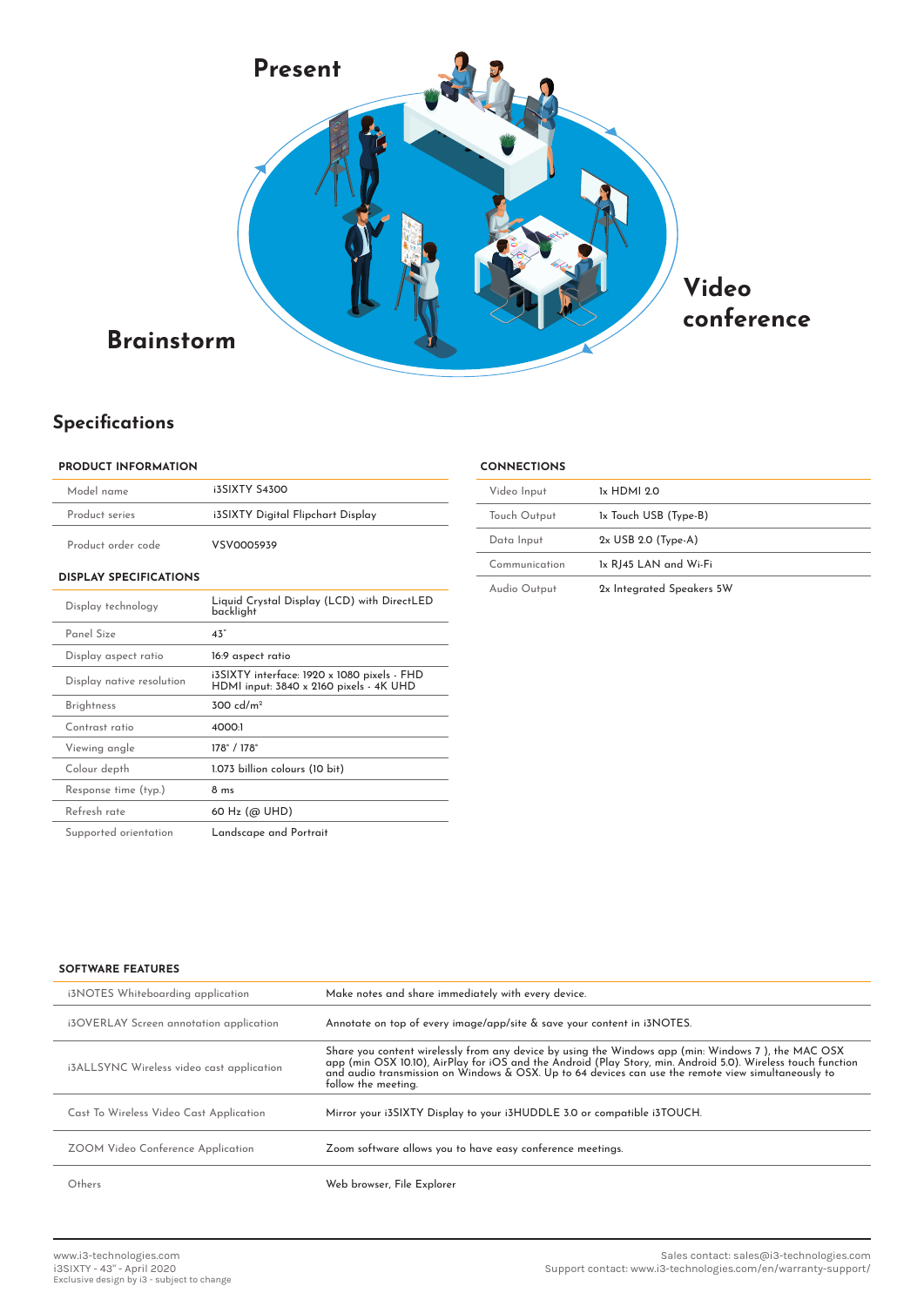

## **Specifications**

#### **PRODUCT INFORMATION**

| Model name                    | <b>i3SIXTY S4300</b>                                                                   |  |  |  |
|-------------------------------|----------------------------------------------------------------------------------------|--|--|--|
| Product series                | i3SIXTY Digital Flipchart Display                                                      |  |  |  |
| Product order code            | VSV0005939                                                                             |  |  |  |
| <b>DISPLAY SPECIFICATIONS</b> |                                                                                        |  |  |  |
| Display technology            | Liquid Crystal Display (LCD) with DirectLED<br>backlight                               |  |  |  |
| Panel Size                    | 43"                                                                                    |  |  |  |
| Display aspect ratio          | 16:9 aspect ratio                                                                      |  |  |  |
| Display native resolution     | i3SIXTY interface: 1920 x 1080 pixels - FHD<br>HDMI input: 3840 x 2160 pixels - 4K UHD |  |  |  |
| <b>Brightness</b>             | $300 \text{ d/m}^2$                                                                    |  |  |  |
| Contrast ratio                | 4000-1                                                                                 |  |  |  |
| Viewing angle                 | 178°/178°                                                                              |  |  |  |
| Colour depth                  | 1.073 billion colours (10 bit)                                                         |  |  |  |
| Response time (typ.)          | 8 <sub>ms</sub>                                                                        |  |  |  |
| Refresh rate                  | 60 Hz (@ UHD)                                                                          |  |  |  |
| Supported orientation         | Landscape and Portrait                                                                 |  |  |  |

| <b>CONNECTIONS</b> |                           |  |  |
|--------------------|---------------------------|--|--|
| Video Input        | 1x HDMI 20                |  |  |
| Touch Output       | 1x Touch USB (Type-B)     |  |  |
| Data Input         | $2x$ USB 2.0 (Type-A)     |  |  |
| Communication      | 1x RJ45 LAN and Wi-Fi     |  |  |
| Audio Output       | 2x Integrated Speakers 5W |  |  |

#### **SOFTWARE FEATURES**

| i3NOTES Whiteboarding application         | Make notes and share immediately with every device.                                                                                                                                                                                                                                                                                                |
|-------------------------------------------|----------------------------------------------------------------------------------------------------------------------------------------------------------------------------------------------------------------------------------------------------------------------------------------------------------------------------------------------------|
| i3OVERLAY Screen annotation application   | Annotate on top of every image/app/site & save your content in i3NOTES.                                                                                                                                                                                                                                                                            |
| i3ALLSYNC Wireless video cast application | Share you content wirelessly from any device by using the Windows app (min: Windows 7 ), the MAC OSX<br>app (min OSX 10.10), AirPlay for iOS and the Android (Play Story, min. Android 5.0). Wireless touch function<br>and audio transmission on Windows & OSX. Up to 64 devices can use the remote view simultaneously to<br>follow the meeting. |
| Cast To Wireless Video Cast Application   | Mirror your i3SIXTY Display to your i3HUDDLE 3.0 or compatible i3TOUCH.                                                                                                                                                                                                                                                                            |
| ZOOM Video Conference Application         | Zoom software allows you to have easy conference meetings.                                                                                                                                                                                                                                                                                         |
| Others                                    | Web browser, File Explorer                                                                                                                                                                                                                                                                                                                         |